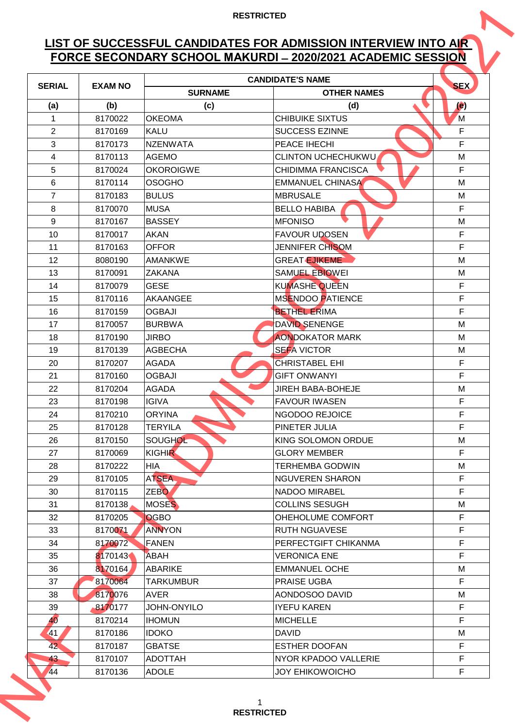## **LIST OF SUCCESSFUL CANDIDATES FOR ADMISSION INTERVIEW INTO AIR FORCE SECONDARY SCHOOL MAKURDI ̶2020/2021 ACADEMIC SESSION**

| FORCE SECONDARY SCHOOL MAKURDI - 2020/2021 ACADEMIC SESSION |                |                    |                           |                          |  |  |
|-------------------------------------------------------------|----------------|--------------------|---------------------------|--------------------------|--|--|
| <b>SERIAL</b>                                               | <b>EXAM NO</b> |                    | <b>CANDIDATE'S NAME</b>   | <b>SEX</b>               |  |  |
|                                                             |                | <b>SURNAME</b>     | <b>OTHER NAMES</b>        |                          |  |  |
| (a)                                                         | (b)            | (c)                | (d)                       | $\left( \bullet \right)$ |  |  |
| $\mathbf{1}$                                                | 8170022        | <b>OKEOMA</b>      | <b>CHIBUIKE SIXTUS</b>    | M                        |  |  |
| $\overline{2}$                                              | 8170169        | <b>KALU</b>        | <b>SUCCESS EZINNE</b>     | F                        |  |  |
| 3                                                           | 8170173        | <b>NZENWATA</b>    | PEACE IHECHI              | F                        |  |  |
| 4                                                           | 8170113        | <b>AGEMO</b>       | <b>CLINTON UCHECHUKWU</b> | M                        |  |  |
| 5                                                           | 8170024        | <b>OKOROIGWE</b>   | <b>CHIDIMMA FRANCISCA</b> | F                        |  |  |
| 6                                                           | 8170114        | <b>OSOGHO</b>      | <b>EMMANUEL CHINASA</b>   | M                        |  |  |
| $\overline{7}$                                              | 8170183        | <b>BULUS</b>       | <b>MBRUSALE</b>           | M                        |  |  |
| 8                                                           | 8170070        | <b>MUSA</b>        | <b>BELLO HABIBA</b>       | F                        |  |  |
| 9                                                           | 8170167        | <b>BASSEY</b>      | <b>MFONISO</b>            | M                        |  |  |
| 10                                                          | 8170017        | <b>AKAN</b>        | <b>FAVOUR UDOSEN</b>      | F                        |  |  |
| 11                                                          | 8170163        | <b>OFFOR</b>       | JENNIFER CHISOM           | F                        |  |  |
| 12                                                          | 8080190        | <b>AMANKWE</b>     | <b>GREAT EJIKEME</b>      | M                        |  |  |
| 13                                                          | 8170091        | <b>ZAKANA</b>      | <b>SAMUEL EBIOWEI</b>     | M                        |  |  |
| 14                                                          | 8170079        | <b>GESE</b>        | <b>KUMASHE QUEEN</b>      | F                        |  |  |
| 15                                                          | 8170116        | <b>AKAANGEE</b>    | <b>MSENDOO PATIENCE</b>   | F                        |  |  |
| 16                                                          | 8170159        | <b>OGBAJI</b>      | <b>BETHEL ERIMA</b>       | F                        |  |  |
| 17                                                          | 8170057        | <b>BURBWA</b>      | DAVID SENENGE             | M                        |  |  |
| 18                                                          | 8170190        | <b>JIRBO</b>       | <b>AONDOKATOR MARK</b>    | M                        |  |  |
| 19                                                          | 8170139        | <b>AGBECHA</b>     | <b>SEFA VICTOR</b>        | M                        |  |  |
| 20                                                          | 8170207        | <b>AGADA</b>       | <b>CHRISTABEL EHI</b>     | F                        |  |  |
| 21                                                          | 8170160        | <b>OGBAJI</b>      | <b>GIFT ONWANYI</b>       | F                        |  |  |
| 22                                                          | 8170204        | <b>AGADA</b>       | <b>JIREH BABA-BOHEJE</b>  | M                        |  |  |
| 23                                                          | 8170198        | IIGIVA             | <b>FAVOUR IWASEN</b>      | F                        |  |  |
| 24                                                          | 8170210        | <b>ORYINA</b>      | NGODOO REJOICE            | F.                       |  |  |
| 25                                                          | 8170128        | <b>TERYILA</b>     | PINETER JULIA             | F.                       |  |  |
| 26                                                          | 8170150        | SOUGHOL            | KING SOLOMON ORDUE        | M                        |  |  |
| 27                                                          | 8170069        | <b>KIGHIR</b>      | <b>GLORY MEMBER</b>       | F.                       |  |  |
| 28                                                          | 8170222        | <b>HIA</b>         | <b>TERHEMBA GODWIN</b>    | м                        |  |  |
| 29                                                          | 8170105        | <b>ATSEA</b>       | <b>NGUVEREN SHARON</b>    | F                        |  |  |
| 30                                                          | 8170115        | ZEBO <sub>1</sub>  | NADOO MIRABEL             | F.                       |  |  |
| 31                                                          | 8170138        | <b>MOSES</b>       | <b>COLLINS SESUGH</b>     | M                        |  |  |
| 32                                                          | 8170205        | <b>OGBO</b>        | OHEHOLUME COMFORT         | F.                       |  |  |
| 33                                                          | 8170071        | <b>ANNYON</b>      | <b>RUTH NGUAVESE</b>      | F                        |  |  |
| 34                                                          | 8170072        | <b>FANEN</b>       | PERFECTGIFT CHIKANMA      | F                        |  |  |
| 35                                                          | 8170143        | ABAH               | <b>VERONICA ENE</b>       | F                        |  |  |
| 36                                                          | 8170164        | <b>ABARIKE</b>     | <b>EMMANUEL OCHE</b>      | м                        |  |  |
| 37                                                          | 8170064        | <b>TARKUMBUR</b>   | <b>PRAISE UGBA</b>        | F.                       |  |  |
| 38                                                          | 8170076        | AVER               | AONDOSOO DAVID            | М                        |  |  |
| 39                                                          | 8170177        | <b>JOHN-ONYILO</b> | <b>IYEFU KAREN</b>        | F                        |  |  |
| 40                                                          | 8170214        | <b>IHOMUN</b>      | <b>MICHELLE</b>           | F.                       |  |  |
| 41                                                          | 8170186        | <b>IDOKO</b>       | <b>DAVID</b>              | M                        |  |  |
| 42                                                          | 8170187        | <b>GBATSE</b>      | <b>ESTHER DOOFAN</b>      | F.                       |  |  |
| 43                                                          | 8170107        | <b>ADOTTAH</b>     | NYOR KPADOO VALLERIE      | F.                       |  |  |
| 44                                                          | 8170136        | <b>ADOLE</b>       | <b>JOY EHIKOWOICHO</b>    | F                        |  |  |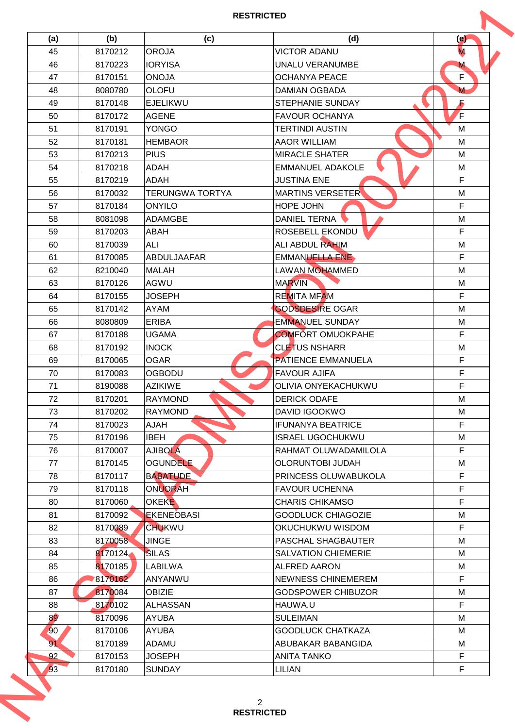## **RESTRICTED**

| (a)             | (b)     | (c)                    | (d)                        | (e)          |
|-----------------|---------|------------------------|----------------------------|--------------|
| 45              | 8170212 | <b>OROJA</b>           | <b>VICTOR ADANU</b>        | M.           |
| 46              | 8170223 | <b>IORYISA</b>         | UNALU VERANUMBE            | $\mathbf M$  |
| 47              | 8170151 | <b>ONOJA</b>           | <b>OCHANYA PEACE</b>       | F            |
| 48              | 8080780 | <b>OLOFU</b>           | <b>DAMIAN OGBADA</b>       | М            |
| 49              | 8170148 | <b>EJELIKWU</b>        | <b>STEPHANIE SUNDAY</b>    | Б            |
| 50              | 8170172 | <b>AGENE</b>           | <b>FAVOUR OCHANYA</b>      | $\mathsf{F}$ |
| 51              | 8170191 | <b>YONGO</b>           | <b>TERTINDI AUSTIN</b>     | M            |
| 52              | 8170181 | <b>HEMBAOR</b>         | <b>AAOR WILLIAM</b>        | M            |
| 53              | 8170213 | <b>PIUS</b>            | <b>MIRACLE SHATER</b>      | M            |
| 54              | 8170218 | ADAH                   | <b>EMMANUEL ADAKOLE</b>    | M            |
| 55              | 8170219 | <b>ADAH</b>            | <b>JUSTINA ENE</b>         | F            |
| 56              | 8170032 | <b>TERUNGWA TORTYA</b> | <b>MARTINS VERSETER</b>    | M            |
| 57              | 8170184 | <b>ONYILO</b>          | HOPE JOHN                  | F            |
| 58              | 8081098 | <b>ADAMGBE</b>         | <b>DANIEL TERNA</b>        | M            |
| 59              | 8170203 | <b>ABAH</b>            | ROSEBELL EKONDU            | F.           |
| 60              | 8170039 | ALI                    | <b>ALI ABDUL RAHIM</b>     | M            |
| 61              | 8170085 | ABDULJAAFAR            | <b>EMMANUELLA ENE</b>      | F.           |
| 62              | 8210040 | <b>MALAH</b>           | <b>LAWAN MOHAMMED</b>      | M            |
| 63              | 8170126 | <b>AGWU</b>            | <b>MARVIN</b>              | M            |
| 64              | 8170155 | <b>JOSEPH</b>          | <b>REMITA MFAM</b>         | F            |
| 65              | 8170142 | <b>AYAM</b>            | <b>GODSDESIRE OGAR</b>     | M            |
| 66              | 8080809 | <b>ERIBA</b>           | <b>EMMANUEL SUNDAY</b>     | M            |
| 67              | 8170188 | <b>UGAMA</b>           | <b>COMFORT OMUOKPAHE</b>   | F            |
| 68              | 8170192 | <b>INOCK</b>           | <b>CLETUS NSHARR</b>       | M            |
| 69              | 8170065 | <b>OGAR</b>            | <b>PATIENCE EMMANUELA</b>  | F            |
|                 |         | <b>OGBODU</b>          |                            | F            |
| 70              | 8170083 |                        | <b>FAVOUR AJIFA</b>        | F            |
| 71              | 8190088 | <b>AZIKIWE</b>         | OLIVIA ONYEKACHUKWU        |              |
| 72              | 8170201 | <b>RAYMOND</b>         | <b>DERICK ODAFE</b>        | M            |
| 73              | 8170202 | <b>RAYMOND</b>         | DAVID IGOOKWO              | м            |
| 74              | 8170023 | <b>HALA</b>            | <b>IFUNANYA BEATRICE</b>   | F.           |
| 75              | 8170196 | <b>IBEH</b>            | <b>ISRAEL UGOCHUKWU</b>    | M            |
| 76              | 8170007 | <b>AJIBOLA</b>         | RAHMAT OLUWADAMILOLA       | F.           |
| 77              | 8170145 | <b>OGUNDELE</b>        | <b>OLORUNTOBI JUDAH</b>    | М            |
| 78              | 8170117 | <b>BABATUDE</b>        | PRINCESS OLUWABUKOLA       | F            |
| 79              | 8170118 | ONUORAH                | <b>FAVOUR UCHENNA</b>      | F            |
| 80              | 8170060 | <b>OKEKE</b>           | <b>CHARIS CHIKAMSO</b>     | F.           |
| 81              | 8170092 | <b>EKENEOBASI</b>      | <b>GOODLUCK CHIAGOZIE</b>  | M            |
| 82              | 8170089 | <b>CHUKWU</b>          | OKUCHUKWU WISDOM           | F            |
| 83              | 8170058 | <b>JINGE</b>           | PASCHAL SHAGBAUTER         | м            |
| 84              | 8170124 | <b>SILAS</b>           | <b>SALVATION CHIEMERIE</b> | М            |
| 85              | 8170185 | LABILWA                | <b>ALFRED AARON</b>        | М            |
| 86              | 8170162 | ANYANWU                | <b>NEWNESS CHINEMEREM</b>  | F.           |
| 87              | 8170084 | <b>OBIZIE</b>          | <b>GODSPOWER CHIBUZOR</b>  | M            |
| 88              | 8170102 | <b>ALHASSAN</b>        | HAUWA.U                    | F.           |
| 89 <sup>°</sup> | 8170096 | <b>AYUBA</b>           | <b>SULEIMAN</b>            | M            |
| 90              | 8170106 | <b>AYUBA</b>           | <b>GOODLUCK CHATKAZA</b>   | М            |
| 91              | 8170189 | ADAMU                  | ABUBAKAR BABANGIDA         | М            |
| 92              | 8170153 | <b>JOSEPH</b>          | <b>ANITA TANKO</b>         | F.           |
|                 | 8170180 | <b>SUNDAY</b>          | <b>LILIAN</b>              | F.           |